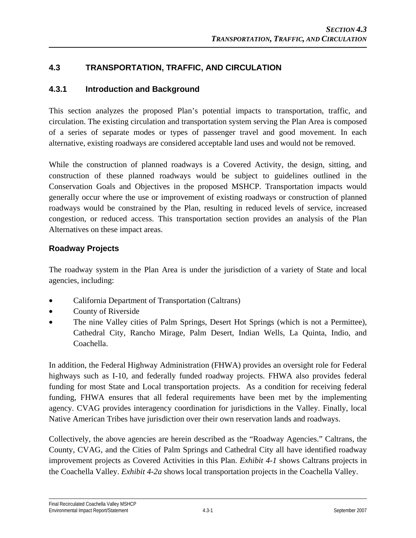# **4.3 TRANSPORTATION, TRAFFIC, AND CIRCULATION**

# **4.3.1 Introduction and Background**

This section analyzes the proposed Plan's potential impacts to transportation, traffic, and circulation. The existing circulation and transportation system serving the Plan Area is composed of a series of separate modes or types of passenger travel and good movement. In each alternative, existing roadways are considered acceptable land uses and would not be removed.

While the construction of planned roadways is a Covered Activity, the design, sitting, and construction of these planned roadways would be subject to guidelines outlined in the Conservation Goals and Objectives in the proposed MSHCP. Transportation impacts would generally occur where the use or improvement of existing roadways or construction of planned roadways would be constrained by the Plan, resulting in reduced levels of service, increased congestion, or reduced access. This transportation section provides an analysis of the Plan Alternatives on these impact areas.

# **Roadway Projects**

The roadway system in the Plan Area is under the jurisdiction of a variety of State and local agencies, including:

- California Department of Transportation (Caltrans)
- County of Riverside
- The nine Valley cities of Palm Springs, Desert Hot Springs (which is not a Permittee), Cathedral City, Rancho Mirage, Palm Desert, Indian Wells, La Quinta, Indio, and Coachella.

In addition, the Federal Highway Administration (FHWA) provides an oversight role for Federal highways such as I-10, and federally funded roadway projects. FHWA also provides federal funding for most State and Local transportation projects. As a condition for receiving federal funding, FHWA ensures that all federal requirements have been met by the implementing agency. CVAG provides interagency coordination for jurisdictions in the Valley. Finally, local Native American Tribes have jurisdiction over their own reservation lands and roadways.

Collectively, the above agencies are herein described as the "Roadway Agencies." Caltrans, the County, CVAG, and the Cities of Palm Springs and Cathedral City all have identified roadway improvement projects as Covered Activities in this Plan. *Exhibit 4-1* shows Caltrans projects in the Coachella Valley. *Exhibit 4-2a* shows local transportation projects in the Coachella Valley.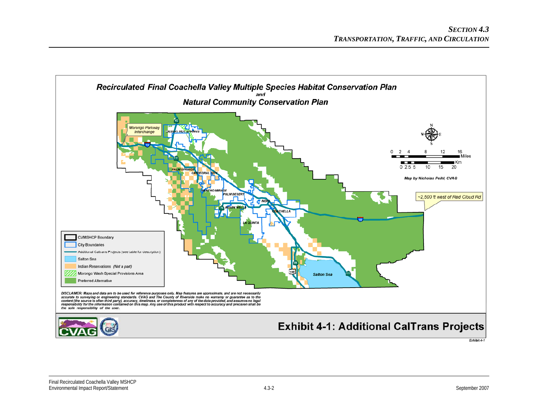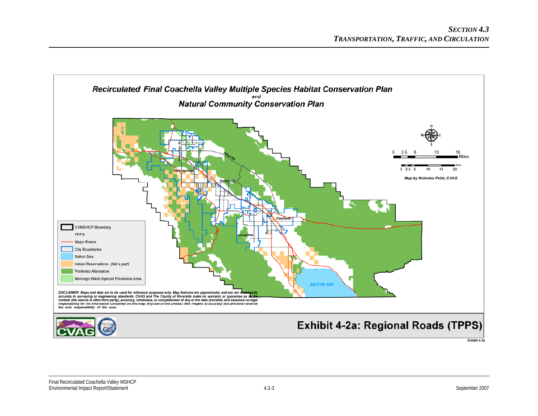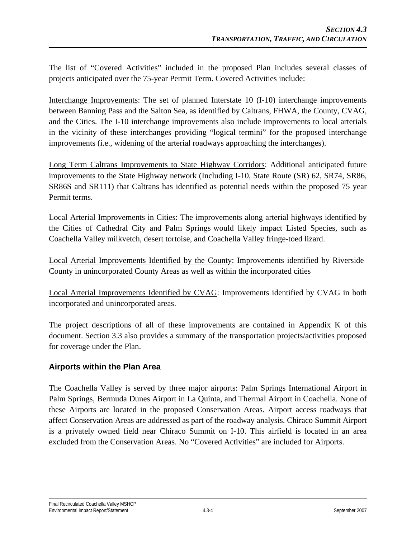The list of "Covered Activities" included in the proposed Plan includes several classes of projects anticipated over the 75-year Permit Term. Covered Activities include:

Interchange Improvements: The set of planned Interstate 10 (I-10) interchange improvements between Banning Pass and the Salton Sea, as identified by Caltrans, FHWA, the County, CVAG, and the Cities. The I-10 interchange improvements also include improvements to local arterials in the vicinity of these interchanges providing "logical termini" for the proposed interchange improvements (i.e., widening of the arterial roadways approaching the interchanges).

Long Term Caltrans Improvements to State Highway Corridors: Additional anticipated future improvements to the State Highway network (Including I-10, State Route (SR) 62, SR74, SR86, SR86S and SR111) that Caltrans has identified as potential needs within the proposed 75 year Permit terms.

Local Arterial Improvements in Cities: The improvements along arterial highways identified by the Cities of Cathedral City and Palm Springs would likely impact Listed Species, such as Coachella Valley milkvetch, desert tortoise, and Coachella Valley fringe-toed lizard.

Local Arterial Improvements Identified by the County: Improvements identified by Riverside County in unincorporated County Areas as well as within the incorporated cities

Local Arterial Improvements Identified by CVAG: Improvements identified by CVAG in both incorporated and unincorporated areas.

The project descriptions of all of these improvements are contained in Appendix K of this document. Section 3.3 also provides a summary of the transportation projects/activities proposed for coverage under the Plan.

# **Airports within the Plan Area**

The Coachella Valley is served by three major airports: Palm Springs International Airport in Palm Springs, Bermuda Dunes Airport in La Quinta, and Thermal Airport in Coachella. None of these Airports are located in the proposed Conservation Areas. Airport access roadways that affect Conservation Areas are addressed as part of the roadway analysis. Chiraco Summit Airport is a privately owned field near Chiraco Summit on I-10. This airfield is located in an area excluded from the Conservation Areas. No "Covered Activities" are included for Airports.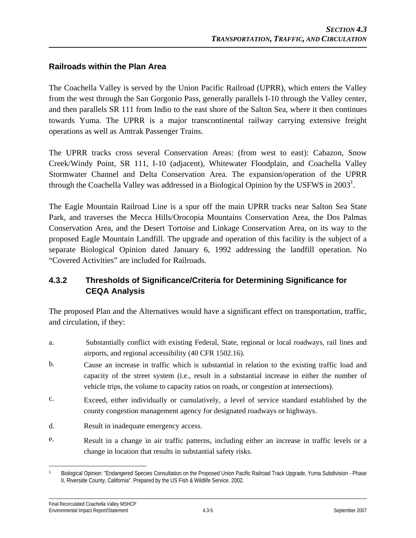# **Railroads within the Plan Area**

The Coachella Valley is served by the Union Pacific Railroad (UPRR), which enters the Valley from the west through the San Gorgonio Pass, generally parallels I-10 through the Valley center, and then parallels SR 111 from Indio to the east shore of the Salton Sea, where it then continues towards Yuma. The UPRR is a major transcontinental railway carrying extensive freight operations as well as Amtrak Passenger Trains.

The UPRR tracks cross several Conservation Areas: (from west to east): Cabazon, Snow Creek/Windy Point, SR 111, I-10 (adjacent), Whitewater Floodplain, and Coachella Valley Stormwater Channel and Delta Conservation Area. The expansion/operation of the UPRR through the Coachella Valley was addressed in a Biological Opinion by the USFWS in  $2003<sup>1</sup>$ .

The Eagle Mountain Railroad Line is a spur off the main UPRR tracks near Salton Sea State Park, and traverses the Mecca Hills/Orocopia Mountains Conservation Area, the Dos Palmas Conservation Area, and the Desert Tortoise and Linkage Conservation Area, on its way to the proposed Eagle Mountain Landfill. The upgrade and operation of this facility is the subject of a separate Biological Opinion dated January 6, 1992 addressing the landfill operation. No "Covered Activities" are included for Railroads.

# **4.3.2 Thresholds of Significance/Criteria for Determining Significance for CEQA Analysis**

The proposed Plan and the Alternatives would have a significant effect on transportation, traffic, and circulation, if they:

- a. Substantially conflict with existing Federal, State, regional or local roadways, rail lines and airports, and regional accessibility (40 CFR 1502.16).
- b. Cause an increase in traffic which is substantial in relation to the existing traffic load and capacity of the street system (i.e., result in a substantial increase in either the number of vehicle trips, the volume to capacity ratios on roads, or congestion at intersections).
- c. Exceed, either individually or cumulatively, a level of service standard established by the county congestion management agency for designated roadways or highways.
- d. Result in inadequate emergency access.
- e. Result in a change in air traffic patterns, including either an increase in traffic levels or a change in location that results in substantial safety risks.

 $\overline{a}$ Biological Opinion: "Endangered Species Consultation on the Proposed Union Pacific Railroad Track Upgrade, Yuma Subdivision - Phase II, Riverside County, California". Prepared by the US Fish & Wildlife Service. 2002.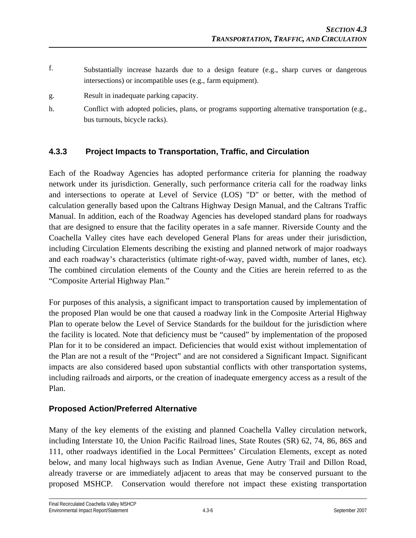- f. Substantially increase hazards due to a design feature (e.g., sharp curves or dangerous intersections) or incompatible uses (e.g., farm equipment).
- g. Result in inadequate parking capacity.
- h. Conflict with adopted policies, plans, or programs supporting alternative transportation (e.g., bus turnouts, bicycle racks).

# **4.3.3 Project Impacts to Transportation, Traffic, and Circulation**

Each of the Roadway Agencies has adopted performance criteria for planning the roadway network under its jurisdiction. Generally, such performance criteria call for the roadway links and intersections to operate at Level of Service (LOS) "D" or better, with the method of calculation generally based upon the Caltrans Highway Design Manual*,* and the Caltrans Traffic Manual. In addition, each of the Roadway Agencies has developed standard plans for roadways that are designed to ensure that the facility operates in a safe manner. Riverside County and the Coachella Valley cites have each developed General Plans for areas under their jurisdiction, including Circulation Elements describing the existing and planned network of major roadways and each roadway's characteristics (ultimate right-of-way, paved width, number of lanes, etc). The combined circulation elements of the County and the Cities are herein referred to as the "Composite Arterial Highway Plan."

For purposes of this analysis, a significant impact to transportation caused by implementation of the proposed Plan would be one that caused a roadway link in the Composite Arterial Highway Plan to operate below the Level of Service Standards for the buildout for the jurisdiction where the facility is located. Note that deficiency must be "caused" by implementation of the proposed Plan for it to be considered an impact. Deficiencies that would exist without implementation of the Plan are not a result of the "Project" and are not considered a Significant Impact. Significant impacts are also considered based upon substantial conflicts with other transportation systems, including railroads and airports, or the creation of inadequate emergency access as a result of the Plan.

# **Proposed Action/Preferred Alternative**

Many of the key elements of the existing and planned Coachella Valley circulation network, including Interstate 10, the Union Pacific Railroad lines, State Routes (SR) 62, 74, 86, 86S and 111, other roadways identified in the Local Permittees' Circulation Elements, except as noted below, and many local highways such as Indian Avenue, Gene Autry Trail and Dillon Road, already traverse or are immediately adjacent to areas that may be conserved pursuant to the proposed MSHCP. Conservation would therefore not impact these existing transportation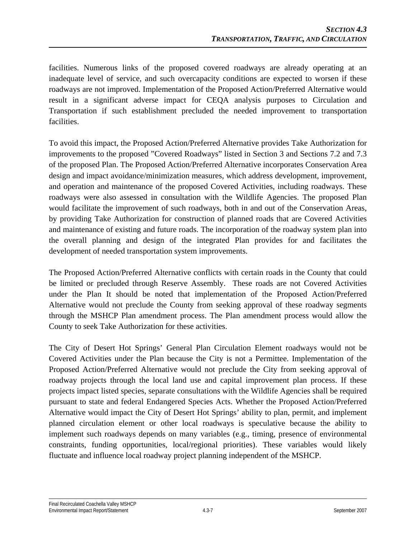facilities. Numerous links of the proposed covered roadways are already operating at an inadequate level of service, and such overcapacity conditions are expected to worsen if these roadways are not improved. Implementation of the Proposed Action/Preferred Alternative would result in a significant adverse impact for CEQA analysis purposes to Circulation and Transportation if such establishment precluded the needed improvement to transportation facilities.

To avoid this impact, the Proposed Action/Preferred Alternative provides Take Authorization for improvements to the proposed "Covered Roadways" listed in Section 3 and Sections 7.2 and 7.3 of the proposed Plan. The Proposed Action/Preferred Alternative incorporates Conservation Area design and impact avoidance/minimization measures, which address development, improvement, and operation and maintenance of the proposed Covered Activities, including roadways. These roadways were also assessed in consultation with the Wildlife Agencies. The proposed Plan would facilitate the improvement of such roadways, both in and out of the Conservation Areas, by providing Take Authorization for construction of planned roads that are Covered Activities and maintenance of existing and future roads. The incorporation of the roadway system plan into the overall planning and design of the integrated Plan provides for and facilitates the development of needed transportation system improvements.

The Proposed Action/Preferred Alternative conflicts with certain roads in the County that could be limited or precluded through Reserve Assembly. These roads are not Covered Activities under the Plan It should be noted that implementation of the Proposed Action/Preferred Alternative would not preclude the County from seeking approval of these roadway segments through the MSHCP Plan amendment process. The Plan amendment process would allow the County to seek Take Authorization for these activities.

The City of Desert Hot Springs' General Plan Circulation Element roadways would not be Covered Activities under the Plan because the City is not a Permittee. Implementation of the Proposed Action/Preferred Alternative would not preclude the City from seeking approval of roadway projects through the local land use and capital improvement plan process. If these projects impact listed species, separate consultations with the Wildlife Agencies shall be required pursuant to state and federal Endangered Species Acts. Whether the Proposed Action/Preferred Alternative would impact the City of Desert Hot Springs' ability to plan, permit, and implement planned circulation element or other local roadways is speculative because the ability to implement such roadways depends on many variables (e.g., timing, presence of environmental constraints, funding opportunities, local/regional priorities). These variables would likely fluctuate and influence local roadway project planning independent of the MSHCP.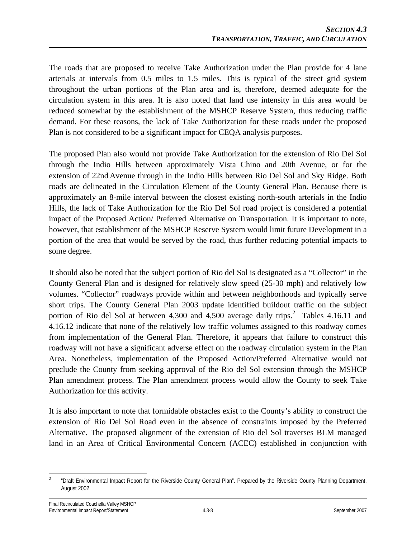The roads that are proposed to receive Take Authorization under the Plan provide for 4 lane arterials at intervals from 0.5 miles to 1.5 miles. This is typical of the street grid system throughout the urban portions of the Plan area and is, therefore, deemed adequate for the circulation system in this area. It is also noted that land use intensity in this area would be reduced somewhat by the establishment of the MSHCP Reserve System, thus reducing traffic demand. For these reasons, the lack of Take Authorization for these roads under the proposed Plan is not considered to be a significant impact for CEQA analysis purposes.

The proposed Plan also would not provide Take Authorization for the extension of Rio Del Sol through the Indio Hills between approximately Vista Chino and 20th Avenue, or for the extension of 22nd Avenue through in the Indio Hills between Rio Del Sol and Sky Ridge. Both roads are delineated in the Circulation Element of the County General Plan. Because there is approximately an 8-mile interval between the closest existing north-south arterials in the Indio Hills, the lack of Take Authorization for the Rio Del Sol road project is considered a potential impact of the Proposed Action/ Preferred Alternative on Transportation. It is important to note, however, that establishment of the MSHCP Reserve System would limit future Development in a portion of the area that would be served by the road, thus further reducing potential impacts to some degree.

It should also be noted that the subject portion of Rio del Sol is designated as a "Collector" in the County General Plan and is designed for relatively slow speed (25-30 mph) and relatively low volumes. "Collector" roadways provide within and between neighborhoods and typically serve short trips. The County General Plan 2003 update identified buildout traffic on the subject portion of Rio del Sol at between 4,300 and 4,500 average daily trips.<sup>2</sup> Tables 4.16.11 and 4.16.12 indicate that none of the relatively low traffic volumes assigned to this roadway comes from implementation of the General Plan. Therefore, it appears that failure to construct this roadway will not have a significant adverse effect on the roadway circulation system in the Plan Area. Nonetheless, implementation of the Proposed Action/Preferred Alternative would not preclude the County from seeking approval of the Rio del Sol extension through the MSHCP Plan amendment process. The Plan amendment process would allow the County to seek Take Authorization for this activity.

It is also important to note that formidable obstacles exist to the County's ability to construct the extension of Rio Del Sol Road even in the absence of constraints imposed by the Preferred Alternative. The proposed alignment of the extension of Rio del Sol traverses BLM managed land in an Area of Critical Environmental Concern (ACEC) established in conjunction with

 $\frac{1}{2}$  "Draft Environmental Impact Report for the Riverside County General Plan". Prepared by the Riverside County Planning Department. August 2002.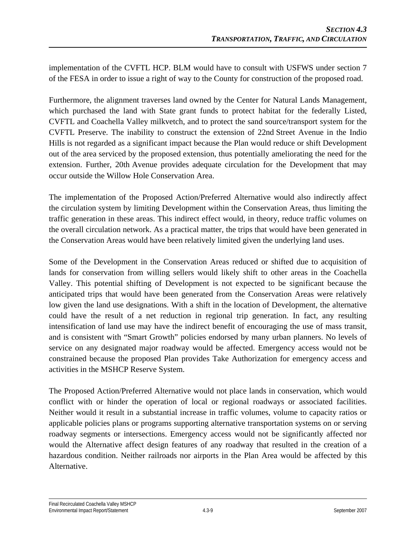implementation of the CVFTL HCP. BLM would have to consult with USFWS under section 7 of the FESA in order to issue a right of way to the County for construction of the proposed road.

Furthermore, the alignment traverses land owned by the Center for Natural Lands Management, which purchased the land with State grant funds to protect habitat for the federally Listed, CVFTL and Coachella Valley milkvetch, and to protect the sand source/transport system for the CVFTL Preserve. The inability to construct the extension of 22nd Street Avenue in the Indio Hills is not regarded as a significant impact because the Plan would reduce or shift Development out of the area serviced by the proposed extension, thus potentially ameliorating the need for the extension. Further, 20th Avenue provides adequate circulation for the Development that may occur outside the Willow Hole Conservation Area.

The implementation of the Proposed Action/Preferred Alternative would also indirectly affect the circulation system by limiting Development within the Conservation Areas, thus limiting the traffic generation in these areas. This indirect effect would, in theory, reduce traffic volumes on the overall circulation network. As a practical matter, the trips that would have been generated in the Conservation Areas would have been relatively limited given the underlying land uses.

Some of the Development in the Conservation Areas reduced or shifted due to acquisition of lands for conservation from willing sellers would likely shift to other areas in the Coachella Valley. This potential shifting of Development is not expected to be significant because the anticipated trips that would have been generated from the Conservation Areas were relatively low given the land use designations. With a shift in the location of Development, the alternative could have the result of a net reduction in regional trip generation. In fact, any resulting intensification of land use may have the indirect benefit of encouraging the use of mass transit, and is consistent with "Smart Growth" policies endorsed by many urban planners. No levels of service on any designated major roadway would be affected. Emergency access would not be constrained because the proposed Plan provides Take Authorization for emergency access and activities in the MSHCP Reserve System.

The Proposed Action/Preferred Alternative would not place lands in conservation, which would conflict with or hinder the operation of local or regional roadways or associated facilities. Neither would it result in a substantial increase in traffic volumes, volume to capacity ratios or applicable policies plans or programs supporting alternative transportation systems on or serving roadway segments or intersections. Emergency access would not be significantly affected nor would the Alternative affect design features of any roadway that resulted in the creation of a hazardous condition. Neither railroads nor airports in the Plan Area would be affected by this Alternative.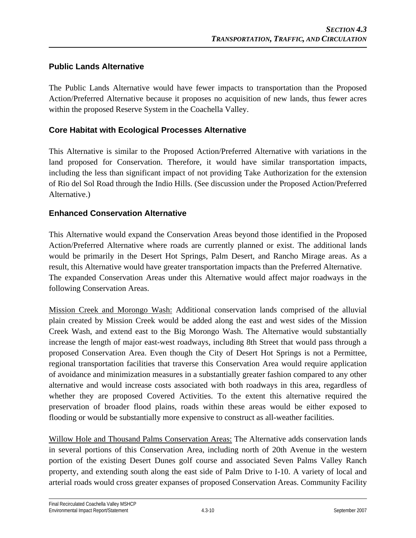# **Public Lands Alternative**

The Public Lands Alternative would have fewer impacts to transportation than the Proposed Action/Preferred Alternative because it proposes no acquisition of new lands, thus fewer acres within the proposed Reserve System in the Coachella Valley.

## **Core Habitat with Ecological Processes Alternative**

This Alternative is similar to the Proposed Action/Preferred Alternative with variations in the land proposed for Conservation. Therefore, it would have similar transportation impacts, including the less than significant impact of not providing Take Authorization for the extension of Rio del Sol Road through the Indio Hills. (See discussion under the Proposed Action/Preferred Alternative.)

### **Enhanced Conservation Alternative**

This Alternative would expand the Conservation Areas beyond those identified in the Proposed Action/Preferred Alternative where roads are currently planned or exist. The additional lands would be primarily in the Desert Hot Springs, Palm Desert, and Rancho Mirage areas. As a result, this Alternative would have greater transportation impacts than the Preferred Alternative. The expanded Conservation Areas under this Alternative would affect major roadways in the following Conservation Areas.

Mission Creek and Morongo Wash: Additional conservation lands comprised of the alluvial plain created by Mission Creek would be added along the east and west sides of the Mission Creek Wash, and extend east to the Big Morongo Wash. The Alternative would substantially increase the length of major east-west roadways, including 8th Street that would pass through a proposed Conservation Area. Even though the City of Desert Hot Springs is not a Permittee, regional transportation facilities that traverse this Conservation Area would require application of avoidance and minimization measures in a substantially greater fashion compared to any other alternative and would increase costs associated with both roadways in this area, regardless of whether they are proposed Covered Activities. To the extent this alternative required the preservation of broader flood plains, roads within these areas would be either exposed to flooding or would be substantially more expensive to construct as all-weather facilities.

Willow Hole and Thousand Palms Conservation Areas: The Alternative adds conservation lands in several portions of this Conservation Area, including north of 20th Avenue in the western portion of the existing Desert Dunes golf course and associated Seven Palms Valley Ranch property, and extending south along the east side of Palm Drive to I-10. A variety of local and arterial roads would cross greater expanses of proposed Conservation Areas. Community Facility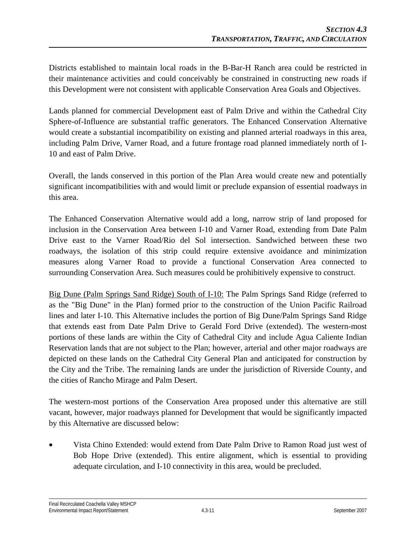Districts established to maintain local roads in the B-Bar-H Ranch area could be restricted in their maintenance activities and could conceivably be constrained in constructing new roads if this Development were not consistent with applicable Conservation Area Goals and Objectives.

Lands planned for commercial Development east of Palm Drive and within the Cathedral City Sphere-of-Influence are substantial traffic generators. The Enhanced Conservation Alternative would create a substantial incompatibility on existing and planned arterial roadways in this area, including Palm Drive, Varner Road, and a future frontage road planned immediately north of I-10 and east of Palm Drive.

Overall, the lands conserved in this portion of the Plan Area would create new and potentially significant incompatibilities with and would limit or preclude expansion of essential roadways in this area.

The Enhanced Conservation Alternative would add a long, narrow strip of land proposed for inclusion in the Conservation Area between I-10 and Varner Road, extending from Date Palm Drive east to the Varner Road/Rio del Sol intersection. Sandwiched between these two roadways, the isolation of this strip could require extensive avoidance and minimization measures along Varner Road to provide a functional Conservation Area connected to surrounding Conservation Area. Such measures could be prohibitively expensive to construct.

Big Dune (Palm Springs Sand Ridge) South of I-10: The Palm Springs Sand Ridge (referred to as the "Big Dune" in the Plan) formed prior to the construction of the Union Pacific Railroad lines and later I-10. This Alternative includes the portion of Big Dune/Palm Springs Sand Ridge that extends east from Date Palm Drive to Gerald Ford Drive (extended). The western-most portions of these lands are within the City of Cathedral City and include Agua Caliente Indian Reservation lands that are not subject to the Plan; however, arterial and other major roadways are depicted on these lands on the Cathedral City General Plan and anticipated for construction by the City and the Tribe. The remaining lands are under the jurisdiction of Riverside County, and the cities of Rancho Mirage and Palm Desert.

The western-most portions of the Conservation Area proposed under this alternative are still vacant, however, major roadways planned for Development that would be significantly impacted by this Alternative are discussed below:

• Vista Chino Extended: would extend from Date Palm Drive to Ramon Road just west of Bob Hope Drive (extended). This entire alignment, which is essential to providing adequate circulation, and I-10 connectivity in this area, would be precluded.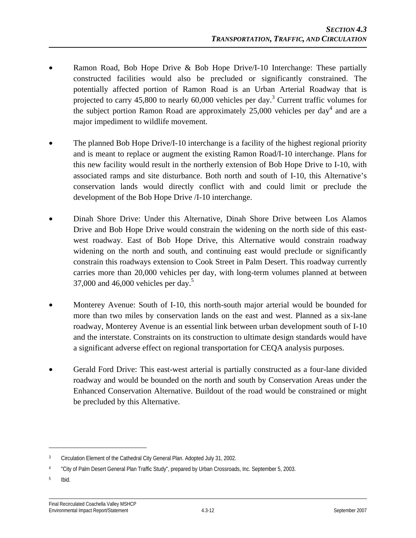- Ramon Road, Bob Hope Drive & Bob Hope Drive/I-10 Interchange: These partially constructed facilities would also be precluded or significantly constrained. The potentially affected portion of Ramon Road is an Urban Arterial Roadway that is projected to carry  $45,800$  to nearly  $60,000$  vehicles per day.<sup>3</sup> Current traffic volumes for the subject portion Ramon Road are approximately  $25,000$  vehicles per day<sup>4</sup> and are a major impediment to wildlife movement.
- The planned Bob Hope Drive/I-10 interchange is a facility of the highest regional priority and is meant to replace or augment the existing Ramon Road/I-10 interchange. Plans for this new facility would result in the northerly extension of Bob Hope Drive to I-10, with associated ramps and site disturbance. Both north and south of I-10, this Alternative's conservation lands would directly conflict with and could limit or preclude the development of the Bob Hope Drive /I-10 interchange.
- Dinah Shore Drive: Under this Alternative, Dinah Shore Drive between Los Alamos Drive and Bob Hope Drive would constrain the widening on the north side of this eastwest roadway. East of Bob Hope Drive, this Alternative would constrain roadway widening on the north and south, and continuing east would preclude or significantly constrain this roadways extension to Cook Street in Palm Desert. This roadway currently carries more than 20,000 vehicles per day, with long-term volumes planned at between  $37,000$  and  $46,000$  vehicles per day.<sup>5</sup>
- Monterey Avenue: South of I-10, this north-south major arterial would be bounded for more than two miles by conservation lands on the east and west. Planned as a six-lane roadway, Monterey Avenue is an essential link between urban development south of I-10 and the interstate. Constraints on its construction to ultimate design standards would have a significant adverse effect on regional transportation for CEQA analysis purposes.
- Gerald Ford Drive: This east-west arterial is partially constructed as a four-lane divided roadway and would be bounded on the north and south by Conservation Areas under the Enhanced Conservation Alternative. Buildout of the road would be constrained or might be precluded by this Alternative.

5 Ibid.

1

<sup>&</sup>lt;sup>3</sup> Circulation Element of the Cathedral City General Plan. Adopted July 31, 2002.

<sup>4 &</sup>quot;City of Palm Desert General Plan Traffic Study", prepared by Urban Crossroads, Inc. September 5, 2003.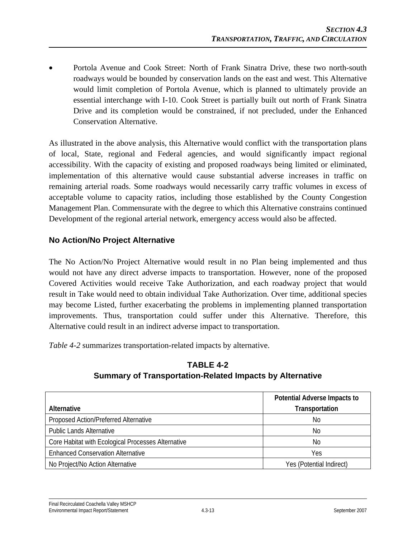• Portola Avenue and Cook Street: North of Frank Sinatra Drive, these two north-south roadways would be bounded by conservation lands on the east and west. This Alternative would limit completion of Portola Avenue, which is planned to ultimately provide an essential interchange with I-10. Cook Street is partially built out north of Frank Sinatra Drive and its completion would be constrained, if not precluded, under the Enhanced Conservation Alternative.

As illustrated in the above analysis, this Alternative would conflict with the transportation plans of local, State, regional and Federal agencies, and would significantly impact regional accessibility. With the capacity of existing and proposed roadways being limited or eliminated, implementation of this alternative would cause substantial adverse increases in traffic on remaining arterial roads. Some roadways would necessarily carry traffic volumes in excess of acceptable volume to capacity ratios, including those established by the County Congestion Management Plan. Commensurate with the degree to which this Alternative constrains continued Development of the regional arterial network, emergency access would also be affected.

# **No Action/No Project Alternative**

The No Action/No Project Alternative would result in no Plan being implemented and thus would not have any direct adverse impacts to transportation. However, none of the proposed Covered Activities would receive Take Authorization, and each roadway project that would result in Take would need to obtain individual Take Authorization. Over time, additional species may become Listed, further exacerbating the problems in implementing planned transportation improvements. Thus, transportation could suffer under this Alternative. Therefore, this Alternative could result in an indirect adverse impact to transportation.

*Table 4-2* summarizes transportation-related impacts by alternative.

|                                                    | Potential Adverse Impacts to |
|----------------------------------------------------|------------------------------|
| Alternative                                        | Transportation               |
| Proposed Action/Preferred Alternative              | No.                          |
| <b>Public Lands Alternative</b>                    | No                           |
| Core Habitat with Ecological Processes Alternative | No                           |
| <b>Enhanced Conservation Alternative</b>           | Yes                          |
| No Project/No Action Alternative                   | Yes (Potential Indirect)     |

# **TABLE 4-2 Summary of Transportation-Related Impacts by Alternative**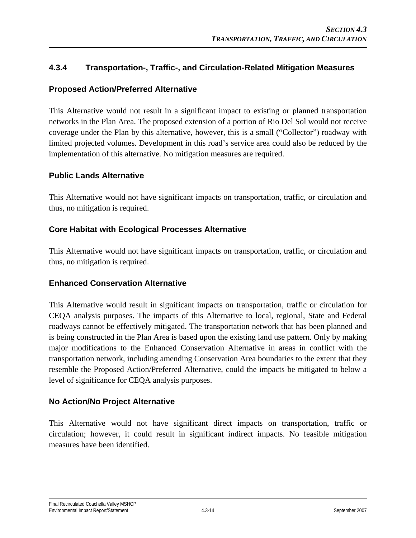# **4.3.4 Transportation-, Traffic-, and Circulation-Related Mitigation Measures**

## **Proposed Action/Preferred Alternative**

This Alternative would not result in a significant impact to existing or planned transportation networks in the Plan Area. The proposed extension of a portion of Rio Del Sol would not receive coverage under the Plan by this alternative, however, this is a small ("Collector") roadway with limited projected volumes. Development in this road's service area could also be reduced by the implementation of this alternative. No mitigation measures are required.

### **Public Lands Alternative**

This Alternative would not have significant impacts on transportation, traffic, or circulation and thus, no mitigation is required.

### **Core Habitat with Ecological Processes Alternative**

This Alternative would not have significant impacts on transportation, traffic, or circulation and thus, no mitigation is required.

### **Enhanced Conservation Alternative**

This Alternative would result in significant impacts on transportation, traffic or circulation for CEQA analysis purposes. The impacts of this Alternative to local, regional, State and Federal roadways cannot be effectively mitigated. The transportation network that has been planned and is being constructed in the Plan Area is based upon the existing land use pattern. Only by making major modifications to the Enhanced Conservation Alternative in areas in conflict with the transportation network, including amending Conservation Area boundaries to the extent that they resemble the Proposed Action/Preferred Alternative, could the impacts be mitigated to below a level of significance for CEQA analysis purposes.

### **No Action/No Project Alternative**

This Alternative would not have significant direct impacts on transportation, traffic or circulation; however, it could result in significant indirect impacts. No feasible mitigation measures have been identified.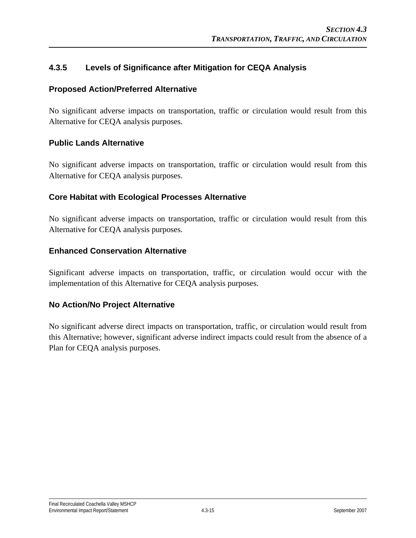# **4.3.5 Levels of Significance after Mitigation for CEQA Analysis**

### **Proposed Action/Preferred Alternative**

No significant adverse impacts on transportation, traffic or circulation would result from this Alternative for CEQA analysis purposes.

### **Public Lands Alternative**

No significant adverse impacts on transportation, traffic or circulation would result from this Alternative for CEQA analysis purposes.

### **Core Habitat with Ecological Processes Alternative**

No significant adverse impacts on transportation, traffic or circulation would result from this Alternative for CEQA analysis purposes.

### **Enhanced Conservation Alternative**

Significant adverse impacts on transportation, traffic, or circulation would occur with the implementation of this Alternative for CEQA analysis purposes.

### **No Action/No Project Alternative**

No significant adverse direct impacts on transportation, traffic, or circulation would result from this Alternative; however, significant adverse indirect impacts could result from the absence of a Plan for CEQA analysis purposes.